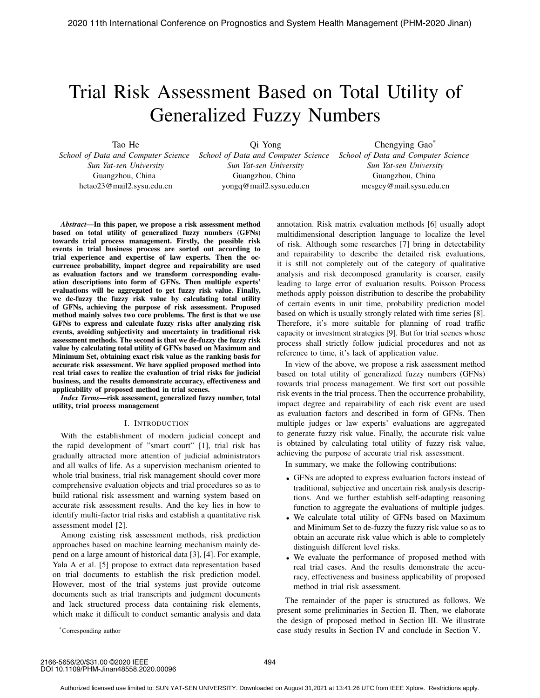# Trial Risk Assessment Based on Total Utility of Generalized Fuzzy Numbers

Tao He

*School of Data and Computer Science Sun Yat-sen University* Guangzhou, China hetao23@mail2.sysu.edu.cn

Qi Yong *School of Data and Computer Science Sun Yat-sen University* Guangzhou, China yongq@mail2.sysu.edu.cn

Chengying Gao\* *School of Data and Computer Science Sun Yat-sen University* Guangzhou, China mcsgcy@mail.sysu.edu.cn

*Abstract*—In this paper, we propose a risk assessment method based on total utility of generalized fuzzy numbers (GFNs) towards trial process management. Firstly, the possible risk events in trial business process are sorted out according to trial experience and expertise of law experts. Then the occurrence probability, impact degree and repairability are used as evaluation factors and we transform corresponding evaluation descriptions into form of GFNs. Then multiple experts' evaluations will be aggregated to get fuzzy risk value. Finally, we de-fuzzy the fuzzy risk value by calculating total utility of GFNs, achieving the purpose of risk assessment. Proposed method mainly solves two core problems. The first is that we use GFNs to express and calculate fuzzy risks after analyzing risk events, avoiding subjectivity and uncertainty in traditional risk assessment methods. The second is that we de-fuzzy the fuzzy risk value by calculating total utility of GFNs based on Maximum and Minimum Set, obtaining exact risk value as the ranking basis for accurate risk assessment. We have applied proposed method into real trial cases to realize the evaluation of trial risks for judicial business, and the results demonstrate accuracy, effectiveness and applicability of proposed method in trial scenes.

*Index Terms*—risk assessment, generalized fuzzy number, total utility, trial process management

### I. INTRODUCTION

With the establishment of modern judicial concept and the rapid development of "smart court" [1], trial risk has gradually attracted more attention of judicial administrators and all walks of life. As a supervision mechanism oriented to whole trial business, trial risk management should cover more comprehensive evaluation objects and trial procedures so as to build rational risk assessment and warning system based on accurate risk assessment results. And the key lies in how to identify multi-factor trial risks and establish a quantitative risk assessment model [2].

Among existing risk assessment methods, risk prediction approaches based on machine learning mechanism mainly depend on a large amount of historical data [3], [4]. For example, Yala A et al. [5] propose to extract data representation based on trial documents to establish the risk prediction model. However, most of the trial systems just provide outcome documents such as trial transcripts and judgment documents and lack structured process data containing risk elements, which make it difficult to conduct semantic analysis and data

annotation. Risk matrix evaluation methods [6] usually adopt multidimensional description language to localize the level of risk. Although some researches [7] bring in detectability and repairability to describe the detailed risk evaluations, it is still not completely out of the category of qualitative analysis and risk decomposed granularity is coarser, easily leading to large error of evaluation results. Poisson Process methods apply poisson distribution to describe the probability of certain events in unit time, probability prediction model based on which is usually strongly related with time series [8]. Therefore, it's more suitable for planning of road traffic capacity or investment strategies [9]. But for trial scenes whose process shall strictly follow judicial procedures and not as reference to time, it's lack of application value.

In view of the above, we propose a risk assessment method based on total utility of generalized fuzzy numbers (GFNs) towards trial process management. We first sort out possible risk events in the trial process. Then the occurrence probability, impact degree and repairability of each risk event are used as evaluation factors and described in form of GFNs. Then multiple judges or law experts' evaluations are aggregated to generate fuzzy risk value. Finally, the accurate risk value is obtained by calculating total utility of fuzzy risk value, achieving the purpose of accurate trial risk assessment.

In summary, we make the following contributions:

- GFNs are adopted to express evaluation factors instead of traditional, subjective and uncertain risk analysis descriptions. And we further establish self-adapting reasoning function to aggregate the evaluations of multiple judges.
- We calculate total utility of GFNs based on Maximum and Minimum Set to de-fuzzy the fuzzy risk value so as to obtain an accurate risk value which is able to completely distinguish different level risks.
- We evaluate the performance of proposed method with real trial cases. And the results demonstrate the accuracy, effectiveness and business applicability of proposed method in trial risk assessment.

The remainder of the paper is structured as follows. We present some preliminaries in Section II. Then, we elaborate the design of proposed method in Section III. We illustrate case study results in Section IV and conclude in Section V.

\*Corresponding author

2166-5656/20/\$31.00 ©2020 IEEE DOI 10.1109/PHM-Jinan48558.2020.00096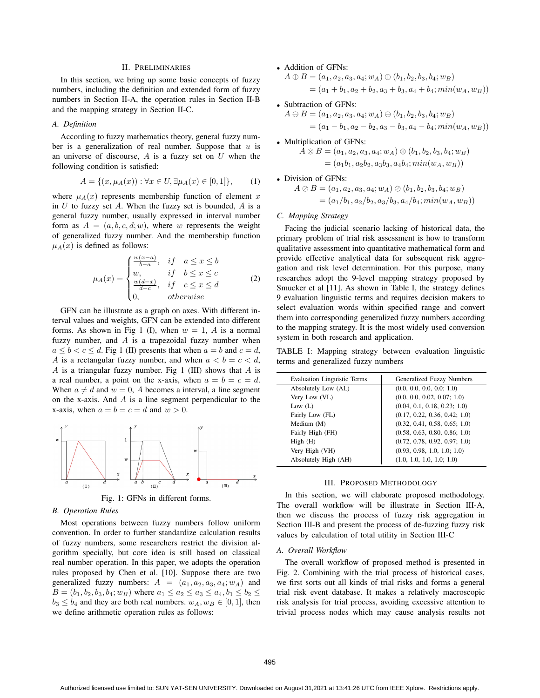# II. PRELIMINARIES

In this section, we bring up some basic concepts of fuzzy numbers, including the definition and extended form of fuzzy numbers in Section II-A, the operation rules in Section II-B and the mapping strategy in Section II-C.

## *A. Definition*

According to fuzzy mathematics theory, general fuzzy number is a generalization of real number. Suppose that  $u$  is an universe of discourse,  $A$  is a fuzzy set on  $U$  when the following condition is satisfied:

$$
A = \{(x, \mu_A(x)) : \forall x \in U, \exists \mu_A(x) \in [0, 1]\},\tag{1}
$$

where  $\mu_A(x)$  represents membership function of element x in  $U$  to fuzzy set  $A$ . When the fuzzy set is bounded,  $A$  is a general fuzzy number, usually expressed in interval number form as  $A = (a, b, c, d; w)$ , where w represents the weight of generalized fuzzy number. And the membership function  $\mu_A(x)$  is defined as follows:

$$
\mu_A(x) = \begin{cases}\n\frac{w(x-a)}{b-a}, & if \quad a \leq x \leq b \\
w, & if \quad b \leq x \leq c \\
\frac{w(d-x)}{d-c}, & if \quad c \leq x \leq d \\
0, & otherwise\n\end{cases} \tag{2}
$$

GFN can be illustrate as a graph on axes. With different interval values and weights, GFN can be extended into different forms. As shown in Fig 1 (I), when  $w = 1$ , A is a normal fuzzy number, and  $A$  is a trapezoidal fuzzy number when  $a \leq b < c \leq d$ . Fig 1 (II) presents that when  $a = b$  and  $c = d$ , A is a rectangular fuzzy number, and when  $a < b = c < d$ , A is a triangular fuzzy number. Fig 1 (III) shows that  $A$  is a real number, a point on the x-axis, when  $a = b = c = d$ . When  $a \neq d$  and  $w = 0$ , A becomes a interval, a line segment on the x-axis. And  $\vec{A}$  is a line segment perpendicular to the x-axis, when  $a = b = c = d$  and  $w > 0$ .





#### *B. Operation Rules*

Most operations between fuzzy numbers follow uniform convention. In order to further standardize calculation results of fuzzy numbers, some researchers restrict the division algorithm specially, but core idea is still based on classical real number operation. In this paper, we adopts the operation rules proposed by Chen et al. [10]. Suppose there are two generalized fuzzy numbers:  $A = (a_1, a_2, a_3, a_4; w_A)$  and  $B = (b_1, b_2, b_3, b_4; w_B)$  where  $a_1 \le a_2 \le a_3 \le a_4, b_1 \le b_2 \le a_3$  $b_3 \leq b_4$  and they are both real numbers.  $w_A, w_B \in [0, 1]$ , then we define arithmetic operation rules as follows:

# • Addition of GFNs:

$$
A \oplus B = (a_1, a_2, a_3, a_4; w_A) \oplus (b_1, b_2, b_3, b_4; w_B)
$$
  
=  $(a_1 + b_1, a_2 + b_2, a_3 + b_3, a_4 + b_4; min(w_A, w_B))$ 

• Subtraction of GFNs:

$$
A \ominus B = (a_1, a_2, a_3, a_4; w_A) \ominus (b_1, b_2, b_3, b_4; w_B)
$$
  
=  $(a_1 - b_1, a_2 - b_2, a_3 - b_3, a_4 - b_4; min(w_A, w_B))$ 

• Multiplication of GFNs:

$$
\hat{A} \otimes B = (a_1, a_2, a_3, a_4; w_A) \otimes (b_1, b_2, b_3, b_4; w_B) = (a_1b_1, a_2b_2, a_3b_3, a_4b_4; min(w_A, w_B))
$$

• Division of GFNs:

$$
A \oslash B = (a_1, a_2, a_3, a_4; w_A) \oslash (b_1, b_2, b_3, b_4; w_B)
$$
  
=  $(a_1/b_1, a_2/b_2, a_3/b_3, a_4/b_4; min(w_A, w_B))$ 

### *C. Mapping Strategy*

Facing the judicial scenario lacking of historical data, the primary problem of trial risk assessment is how to transform qualitative assessment into quantitative mathematical form and provide effective analytical data for subsequent risk aggregation and risk level determination. For this purpose, many researches adopt the 9-level mapping strategy proposed by Smucker et al [11]. As shown in Table I, the strategy defines 9 evaluation linguistic terms and requires decision makers to select evaluation words within specified range and convert them into corresponding generalized fuzzy numbers according to the mapping strategy. It is the most widely used conversion system in both research and application.

TABLE I: Mapping strategy between evaluation linguistic terms and generalized fuzzy numbers

| <b>Evaluation Linguistic Terms</b> | Generalized Fuzzy Numbers     |
|------------------------------------|-------------------------------|
| Absolutely Low (AL)                | (0.0, 0.0, 0.0, 0.0, 1.0)     |
| Very Low (VL)                      | (0.0, 0.0, 0.02, 0.07, 1.0)   |
| Low $(L)$                          | (0.04, 0.1, 0.18, 0.23, 1.0)  |
| Fairly Low (FL)                    | (0.17, 0.22, 0.36, 0.42, 1.0) |
| Medium (M)                         | (0.32, 0.41, 0.58, 0.65, 1.0) |
| Fairly High (FH)                   | (0.58, 0.63, 0.80, 0.86, 1.0) |
| High(H)                            | (0.72, 0.78, 0.92, 0.97, 1.0) |
| Very High (VH)                     | (0.93, 0.98, 1.0, 1.0, 1.0)   |
| Absolutely High (AH)               | (1.0, 1.0, 1.0, 1.0, 1.0)     |

#### III. PROPOSED METHODOLOGY

In this section, we will elaborate proposed methodology. The overall workflow will be illustrate in Section III-A, then we discuss the process of fuzzy risk aggregation in Section III-B and present the process of de-fuzzing fuzzy risk values by calculation of total utility in Section III-C

#### *A. Overall Workflow*

The overall workflow of proposed method is presented in Fig. 2. Combining with the trial process of historical cases, we first sorts out all kinds of trial risks and forms a general trial risk event database. It makes a relatively macroscopic risk analysis for trial process, avoiding excessive attention to trivial process nodes which may cause analysis results not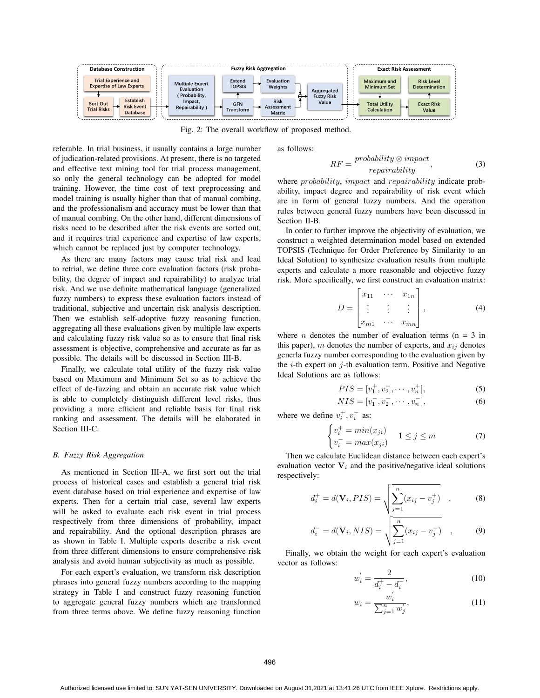

Fig. 2: The overall workflow of proposed method.

referable. In trial business, it usually contains a large number of judication-related provisions. At present, there is no targeted and effective text mining tool for trial process management, so only the general technology can be adopted for model training. However, the time cost of text preprocessing and model training is usually higher than that of manual combing, and the professionalism and accuracy must be lower than that of manual combing. On the other hand, different dimensions of risks need to be described after the risk events are sorted out, and it requires trial experience and expertise of law experts, which cannot be replaced just by computer technology.

As there are many factors may cause trial risk and lead to retrial, we define three core evaluation factors (risk probability, the degree of impact and repairability) to analyze trial risk. And we use definite mathematical language (generalized fuzzy numbers) to express these evaluation factors instead of traditional, subjective and uncertain risk analysis description. Then we establish self-adoptive fuzzy reasoning function, aggregating all these evaluations given by multiple law experts and calculating fuzzy risk value so as to ensure that final risk assessment is objective, comprehensive and accurate as far as possible. The details will be discussed in Section III-B.

Finally, we calculate total utility of the fuzzy risk value based on Maximum and Minimum Set so as to achieve the effect of de-fuzzing and obtain an accurate risk value which is able to completely distinguish different level risks, thus providing a more efficient and reliable basis for final risk ranking and assessment. The details will be elaborated in Section III-C.

### *B. Fuzzy Risk Aggregation*

As mentioned in Section III-A, we first sort out the trial process of historical cases and establish a general trial risk event database based on trial experience and expertise of law experts. Then for a certain trial case, several law experts will be asked to evaluate each risk event in trial process respectively from three dimensions of probability, impact and repairability. And the optional description phrases are as shown in Table I. Multiple experts describe a risk event from three different dimensions to ensure comprehensive risk analysis and avoid human subjectivity as much as possible.

For each expert's evaluation, we transform risk description phrases into general fuzzy numbers according to the mapping strategy in Table I and construct fuzzy reasoning function to aggregate general fuzzy numbers which are transformed from three terms above. We define fuzzy reasoning function as follows:

$$
RF = \frac{probability \otimes impact}{repairability}, \qquad (3)
$$

where *probability*, *impact* and *repairability* indicate probability, impact degree and repairability of risk event which are in form of general fuzzy numbers. And the operation rules between general fuzzy numbers have been discussed in Section II-B.

In order to further improve the objectivity of evaluation, we construct a weighted determination model based on extended TOPSIS (Technique for Order Preference by Similarity to an Ideal Solution) to synthesize evaluation results from multiple experts and calculate a more reasonable and objective fuzzy risk. More specifically, we first construct an evaluation matrix:

$$
D = \begin{bmatrix} x_{11} & \cdots & x_{1n} \\ \vdots & \vdots & \vdots \\ x_{m1} & \cdots & x_{mn} \end{bmatrix},
$$
 (4)

where *n* denotes the number of evaluation terms ( $n = 3$  in this paper), m denotes the number of experts, and  $x_{ij}$  denotes generla fuzzy number corresponding to the evaluation given by the  $i$ -th expert on  $j$ -th evaluation term. Positive and Negative Ideal Solutions are as follows:

$$
PIS = [v_1^+, v_2^+, \cdots, v_n^+],\tag{5}
$$

$$
NIS = [v_1^-, v_2^-, \cdots, v_n^-],
$$
 (6)

where we define  $v_i^+, v_i^-$  as:

$$
\begin{cases} v_i^+ = \min(x_{ji}) \\ v_i^- = \max(x_{ji}) \end{cases} \quad 1 \le j \le m \tag{7}
$$

Then we calculate Euclidean distance between each expert's evaluation vector  $V_i$  and the positive/negative ideal solutions respectively:

$$
d_i^+ = d(\mathbf{V}_i, PIS) = \sqrt{\sum_{j=1}^n (x_{ij} - v_j^+)}, \qquad (8)
$$

$$
d_i^- = d(\mathbf{V}_i, NIS) = \sqrt{\sum_{j=1}^n (x_{ij} - v_j^-)}, \qquad (9)
$$

Finally, we obtain the weight for each expert's evaluation vector as follows:

$$
w_i' = \frac{2}{d_i^+ - d_i^-},\tag{10}
$$

$$
w_i = \frac{w_i^{'}}{\sum_{j=1}^{n} w_j'},
$$
\n(11)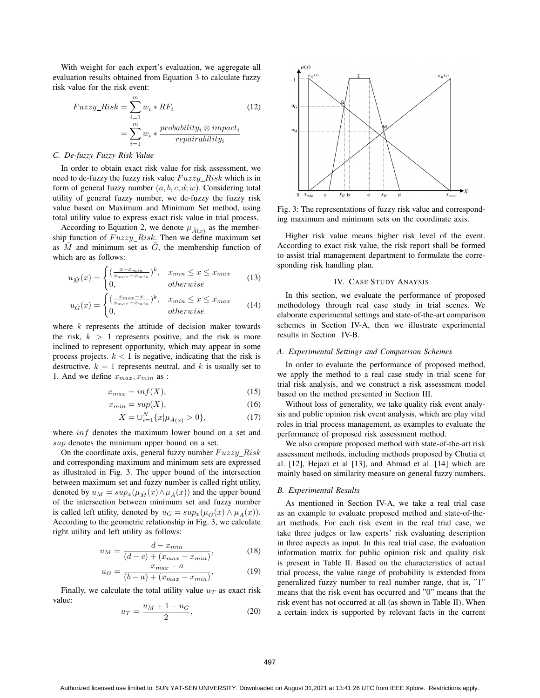With weight for each expert's evaluation, we aggregate all evaluation results obtained from Equation 3 to calculate fuzzy risk value for the risk event:

$$
Fuzzy\_Risk = \sum_{i=1}^{m} w_i * RF_i
$$
\n
$$
= \sum_{i=1}^{m} w_i * \frac{probability_i \otimes impact_i}{repairability_i}
$$
\n(12)

## *C. De-fuzzy Fuzzy Risk Value*

In order to obtain exact risk value for risk assessment, we need to de-fuzzy the fuzzy risk value  $Fuzzy\_Risk$  which is in form of general fuzzy number  $(a, b, c, d; w)$ . Considering total utility of general fuzzy number, we de-fuzzy the fuzzy risk value based on Maximum and Minimum Set method, using total utility value to express exact risk value in trial process.

According to Equation 2, we denote  $\mu_{\tilde{A}(x)}$  as the membership function of  $Fuzzy\_Risk$ . Then we define maximum set as  $\tilde{M}$  and minimum set as  $\tilde{G}$ , the membership function of which are as follows:

$$
u_{\tilde{M}}(x) = \begin{cases} \left(\frac{x - x_{min}}{x_{max} - x_{min}}\right)^k, & x_{min} \le x \le x_{max} \\ 0, & otherwise \end{cases}
$$
 (13)

$$
u_{\tilde{G}}(x) = \begin{cases} \left(\frac{x_{max} - x}{x_{max} - x_{min}}\right)^k, & x_{min} \le x \le x_{max} \\ 0, & otherwise \end{cases}
$$
(14)

where  $k$  represents the attitude of decision maker towards the risk,  $k > 1$  represents positive, and the risk is more inclined to represent opportunity, which may appear in some process projects.  $k < 1$  is negative, indicating that the risk is destructive.  $k = 1$  represents neutral, and k is usually set to 1. And we define  $x_{max}, x_{min}$  as :

$$
x_{max} = inf(X),
$$
\n(15)

$$
x_{min} = sup(X), \tag{16}
$$

$$
X = \bigcup_{i=1}^{N} \{x | \mu_{\tilde{A}(x)} > 0\},\tag{17}
$$

where  $inf$  denotes the maximum lower bound on a set and sup denotes the minimum upper bound on a set.

On the coordinate axis, general fuzzy number  $Fuzzy\_Risk$ and corresponding maximum and minimum sets are expressed as illustrated in Fig. 3. The upper bound of the intersection between maximum set and fuzzy number is called right utility, denoted by  $u_M = sup_x(\mu_{\tilde{M}}(x) \wedge \mu_{\tilde{A}}(x))$  and the upper bound of the intersection between minimum set and fuzzy number is called left utility, denoted by  $u_G = sup_x(\mu_{\tilde{G}}(x) \wedge \mu_{\tilde{A}}(x)).$ According to the geometric relationship in Fig. 3, we calculate right utility and left utility as follows:

$$
u_M = \frac{d - x_{min}}{(d - c) + (x_{max} - x_{min})},\tag{18}
$$

$$
u_G = \frac{x_{max} - a}{(b - a) + (x_{max} - x_{min})},
$$
(19)

Finally, we calculate the total utility value  $u_T$  as exact risk value:

$$
u_T = \frac{u_M + 1 - u_G}{2},
$$
\n(20)



Fig. 3: The representations of fuzzy risk value and corresponding maximum and minimum sets on the coordinate axis.

Higher risk value means higher risk level of the event. According to exact risk value, the risk report shall be formed to assist trial management department to formulate the corresponding risk handling plan.

## IV. CASE STUDY ANAYSIS

In this section, we evaluate the performance of proposed methodology through real case study in trial scenes. We elaborate experimental settings and state-of-the-art comparison schemes in Section IV-A, then we illustrate experimental results in Section IV-B.

## *A. Experimental Settings and Comparison Schemes*

In order to evaluate the performance of proposed method, we apply the method to a real case study in trial scene for trial risk analysis, and we construct a risk assessment model based on the method presented in Section III.

Without loss of generality, we take quality risk event analysis and public opinion risk event analysis, which are play vital roles in trial process management, as examples to evaluate the performance of proposed risk assessment method.

We also compare proposed method with state-of-the-art risk assessment methods, including methods proposed by Chutia et al. [12], Hejazi et al [13], and Ahmad et al. [14] which are mainly based on similarity measure on general fuzzy numbers.

#### *B. Experimental Results*

As mentioned in Section IV-A, we take a real trial case as an example to evaluate proposed method and state-of-theart methods. For each risk event in the real trial case, we take three judges or law experts' risk evaluating description in three aspects as input. In this real trial case, the evaluation information matrix for public opinion risk and quality risk is present in Table II. Based on the characteristics of actual trial process, the value range of probability is extended from generalized fuzzy number to real number range, that is, "1" means that the risk event has occurred and "0" means that the risk event has not occurred at all (as shown in Table II). When a certain index is supported by relevant facts in the current